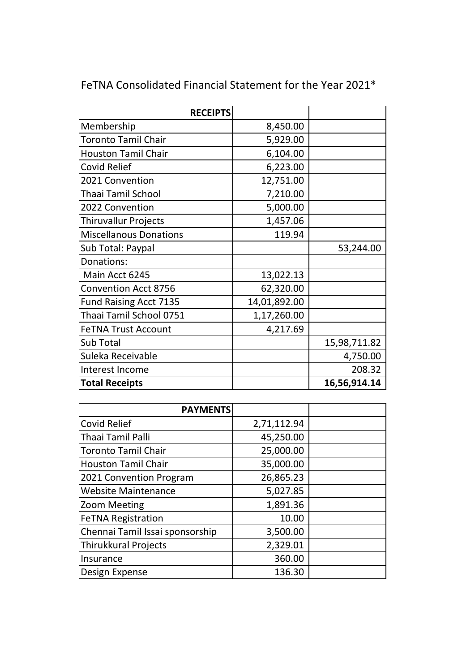| <b>RECEIPTS</b>               |              |              |
|-------------------------------|--------------|--------------|
| Membership                    | 8,450.00     |              |
| <b>Toronto Tamil Chair</b>    | 5,929.00     |              |
| <b>Houston Tamil Chair</b>    | 6,104.00     |              |
| <b>Covid Relief</b>           | 6,223.00     |              |
| 2021 Convention               | 12,751.00    |              |
| Thaai Tamil School            | 7,210.00     |              |
| 2022 Convention               | 5,000.00     |              |
| <b>Thiruvallur Projects</b>   | 1,457.06     |              |
| <b>Miscellanous Donations</b> | 119.94       |              |
| Sub Total: Paypal             |              | 53,244.00    |
| Donations:                    |              |              |
| Main Acct 6245                | 13,022.13    |              |
| <b>Convention Acct 8756</b>   | 62,320.00    |              |
| <b>Fund Raising Acct 7135</b> | 14,01,892.00 |              |
| Thaai Tamil School 0751       | 1,17,260.00  |              |
| <b>FeTNA Trust Account</b>    | 4,217.69     |              |
| Sub Total                     |              | 15,98,711.82 |
| Suleka Receivable             |              | 4,750.00     |
| Interest Income               |              | 208.32       |
| <b>Total Receipts</b>         |              | 16,56,914.14 |

## FeTNA Consolidated Financial Statement for the Year 2021\*

| <b>PAYMENTS</b>                 |             |  |
|---------------------------------|-------------|--|
| <b>Covid Relief</b>             | 2,71,112.94 |  |
| <b>Thaai Tamil Palli</b>        | 45,250.00   |  |
| <b>Toronto Tamil Chair</b>      | 25,000.00   |  |
| <b>Houston Tamil Chair</b>      | 35,000.00   |  |
| 2021 Convention Program         | 26,865.23   |  |
| <b>Website Maintenance</b>      | 5,027.85    |  |
| <b>Zoom Meeting</b>             | 1,891.36    |  |
| <b>FeTNA Registration</b>       | 10.00       |  |
| Chennai Tamil Issai sponsorship | 3,500.00    |  |
| <b>Thirukkural Projects</b>     | 2,329.01    |  |
| Insurance                       | 360.00      |  |
| Design Expense                  | 136.30      |  |